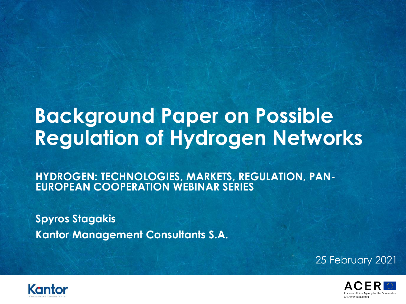# **Background Paper on Possible Regulation of Hydrogen Networks**

**HYDROGEN: TECHNOLOGIES, MARKETS, REGULATION, PAN-EUROPEAN COOPERATION WEBINAR SERIES**

**Spyros Stagakis Kantor Management Consultants S.A.** 

25 February 2021



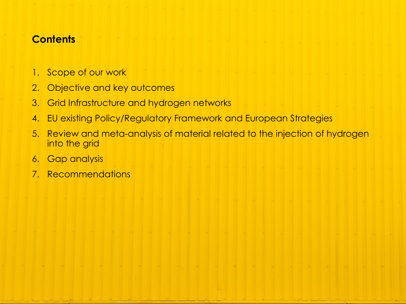#### **Contents**

- 1. Scope of our work
- 2. Objective and key outcomes
- 3. Grid Infrastructure and hydrogen networks
- 4. EU existing Policy/Regulatory Framework and European Strategies
- 5. Review and meta-analysis of material related to the injection of hydrogen into the grid
- 6. Gap analysis
- 7. Recommendations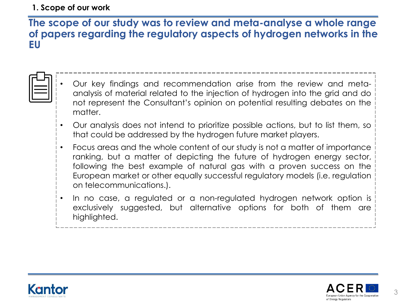#### **1. Scope of our work**

#### **The scope of our study was to review and meta-analyse a whole range of papers regarding the regulatory aspects of hydrogen networks in the EU**

- 
- Our key findings and recommendation arise from the review and metaanalysis of material related to the injection of hydrogen into the grid and do not represent the Consultant's opinion on potential resulting debates on the matter.
- Our analysis does not intend to prioritize possible actions, but to list them, so that could be addressed by the hydrogen future market players.
- Focus areas and the whole content of our study is not a matter of importance ranking, but a matter of depicting the future of hydrogen energy sector, following the best example of natural gas with a proven success on the European market or other equally successful regulatory models (i.e. regulation on telecommunications.).
- In no case, a regulated or a non-regulated hydrogen network option is exclusively suggested, but alternative options for both of them are highlighted.

\_\_\_\_\_\_\_\_\_\_\_\_\_\_\_\_\_\_\_\_\_\_\_\_\_\_\_\_\_\_\_\_\_



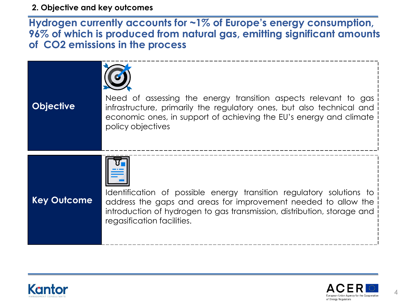**2. Objective and key outcomes**

**Hydrogen currently accounts for ~1% of Europe's energy consumption, 96% of which is produced from natural gas, emitting significant amounts of CO2 emissions in the process**





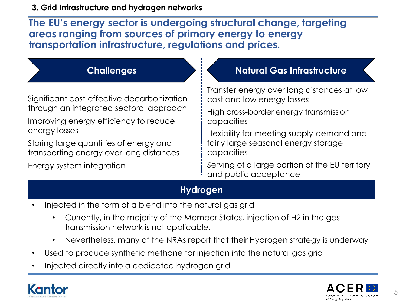**The EU's energy sector is undergoing structural change, targeting areas ranging from sources of primary energy to energy transportation infrastructure, regulations and prices.**

Significant cost-effective decarbonization through an integrated sectoral approach

Improving energy efficiency to reduce energy losses

Storing large quantities of energy and transporting energy over long distances

Energy system integration

#### **Challenges Natural Gas Infrastructure**

Transfer energy over long distances at low cost and low energy losses

High cross-border energy transmission capacities

Flexibility for meeting supply-demand and fairly large seasonal energy storage capacities

Serving of a large portion of the EU territory and public acceptance

#### **Hydrogen**

- Injected in the form of a blend into the natural gas grid
	- Currently, in the majority of the Member States, injection of H2 in the gas transmission network is not applicable.
	- Nevertheless, many of the NRAs report that their Hydrogen strategy is underway
- Used to produce synthetic methane for injection into the natural gas grid
- Injected directly into a dedicated hydrogen grid



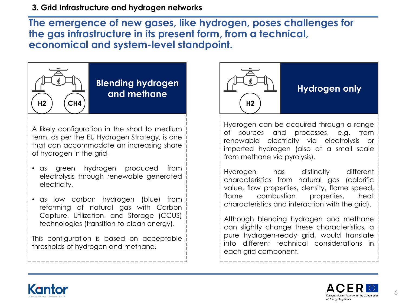#### **3. Grid Infrastructure and hydrogen networks**

**The emergence of new gases, like hydrogen, poses challenges for the gas infrastructure in its present form, from a technical, economical and system-level standpoint.**



#### **Blending hydrogen and methane**

A likely configuration in the short to medium term, as per the EU Hydrogen Strategy, is one that can accommodate an increasing share of hydrogen in the grid,

- as green hydrogen produced from electrolysis through renewable generated electricity,
- as low carbon hydrogen (blue) from reforming of natural gas with Carbon Capture, Utilization, and Storage (CCUS) technologies (transition to clean energy).

This configuration is based on acceptable thresholds of hydrogen and methane.



#### **Hydrogen only**

Hydrogen can be acquired through a range of sources and processes, e.g. from renewable electricity via electrolysis or imported hydrogen (also at a small scale from methane via pyrolysis).

Hydrogen has distinctly different characteristics from natural gas (calorific value, flow properties, density, flame speed, flame combustion properties, heat characteristics and interaction with the grid).

Although blending hydrogen and methane can slightly change these characteristics, a pure hydrogen-ready grid, would translate into different technical considerations in each grid component.



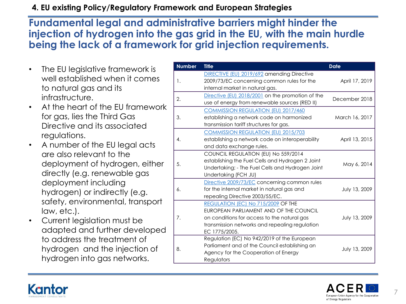#### **4. EU existing Policy/Regulatory Framework and European Strategies**

#### **Fundamental legal and administrative barriers might hinder the injection of hydrogen into the gas grid in the EU, with the main hurdle being the lack of a framework for grid injection requirements.**

- The EU legislative framework is well established when it comes to natural gas and its infrastructure.
- At the heart of the EU framework for gas, lies the Third Gas Directive and its associated regulations.
- A number of the EU legal acts are also relevant to the deployment of hydrogen, either directly (e.g. renewable gas deployment including hydrogen) or indirectly (e.g. safety, environmental, transport law, etc.).
- Current legislation must be adapted and further developed to address the treatment of hydrogen and the injection of hydrogen into gas networks.

| <b>Number</b> | <b>Title</b>                                                                                                                                                                                   | Date           |
|---------------|------------------------------------------------------------------------------------------------------------------------------------------------------------------------------------------------|----------------|
| 1.            | DIRECTIVE (EU) 2019/692 amending Directive<br>2009/73/EC concerning common rules for the<br>internal market in natural gas.                                                                    | April 17, 2019 |
| 2.            | Directive (EU) 2018/2001 on the promotion of the<br>use of energy from renewable sources (RED II)                                                                                              | December 2018  |
| 3.            | <b>COMMISSION REGULATION (EU) 2017/460</b><br>establishing a network code on harmonized<br>transmission tariff structures for gas.                                                             | March 16, 2017 |
| 4.            | <b>COMMISSION REGULATION (EU) 2015/703</b><br>establishing a network code on interoperability<br>and data exchange rules.                                                                      | April 13, 2015 |
| 5.            | COUNCIL REGULATION (EU) No 559/2014<br>establishing the Fuel Cells and Hydrogen 2 Joint<br>Undertaking; - The Fuel Cells and Hydrogen Joint<br>Undertaking (FCH JU)                            | May 6, 2014    |
| 6.            | Directive 2009/73/EC concerning common rules<br>for the internal market in natural gas and<br>repealing Directive 2003/55/EC.                                                                  | July 13, 2009  |
| 7.            | REGULATION (EC) No 715/2009 OF THE<br>EUROPEAN PARLIAMENT AND OF THE COUNCIL<br>on conditions for access to the natural gas<br>transmission networks and repealing regulation<br>EC 1775/2005. | July 13, 2009  |
| 8.            | Regulation (EC) No 942/2019 of the European<br>Parliament and of the Council establishing an<br>Agency for the Cooperation of Energy<br>Regulators                                             | July 13, 2009  |



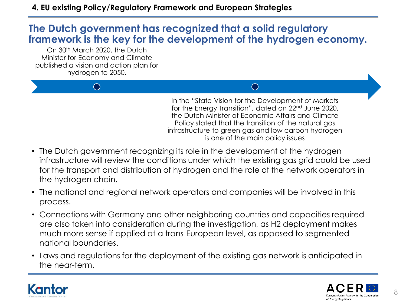### **The Dutch government has recognized that a solid regulatory framework is the key for the development of the hydrogen economy.**

On 30<sup>th</sup> March 2020, the Dutch Minister for Economy and Climate published a vision and action plan for hydrogen to 2050.

 $\bigcap$ 

In the "State Vision for the Development of Markets for the Energy Transition", dated on 22<sup>nd</sup> June 2020, the Dutch Minister of Economic Affairs and Climate Policy stated that the transition of the natural gas infrastructure to green gas and low carbon hydrogen is one of the main policy issues

 $\bigcap$ 

- The Dutch government recognizing its role in the development of the hydrogen infrastructure will review the conditions under which the existing gas grid could be used for the transport and distribution of hydrogen and the role of the network operators in the hydrogen chain.
- The national and regional network operators and companies will be involved in this process.
- Connections with Germany and other neighboring countries and capacities required are also taken into consideration during the investigation, as H2 deployment makes much more sense if applied at a trans-European level, as opposed to segmented national boundaries.
- Laws and regulations for the deployment of the existing gas network is anticipated in the near-term.



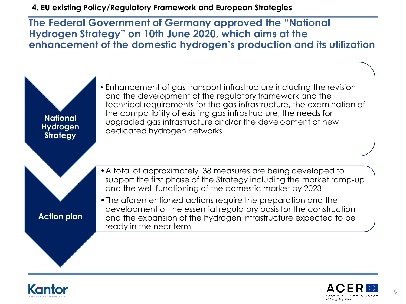**4. EU existing Policy/Regulatory Framework and European Strategies**

**The Federal Government of Germany approved the "National Hydrogen Strategy" on 10th June 2020, which aims at the enhancement of the domestic hydrogen's production and its utilization**





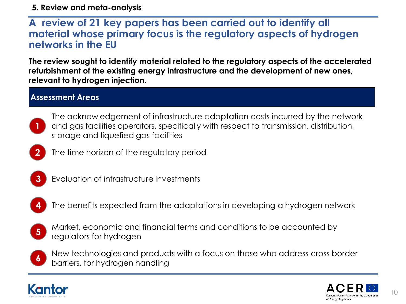#### **5. Review and meta-analysis**

#### **A review of 21 key papers has been carried out to identify all material whose primary focus is the regulatory aspects of hydrogen networks in the EU**

**The review sought to identify material related to the regulatory aspects of the accelerated refurbishment of the existing energy infrastructure and the development of new ones, relevant to hydrogen injection.**

#### **Assessment Areas**



**2**

The acknowledgement of infrastructure adaptation costs incurred by the network and gas facilities operators, specifically with respect to transmission, distribution, storage and liquefied gas facilities

- The time horizon of the regulatory period
- **3**
- Evaluation of infrastructure investments
- **4**
	- The benefits expected from the adaptations in developing a hydrogen network
	- Market, economic and financial terms and conditions to be accounted by regulators for hydrogen **5**



New technologies and products with a focus on those who address cross border barriers, for hydrogen handling



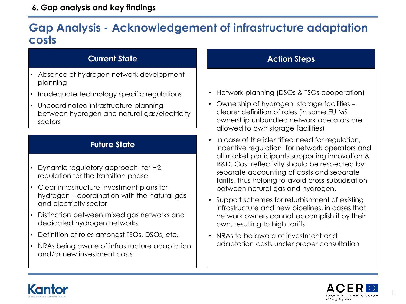#### **6. Gap analysis and key findings**

## **Gap Analysis - Acknowledgement of infrastructure adaptation costs**

#### **Current State**

- Absence of hydrogen network development planning
- Inadequate technology specific regulations
- Uncoordinated infrastructure planning between hydrogen and natural gas/electricity sectors

#### **Future State**

- Dynamic regulatory approach for H2 regulation for the transition phase
- Clear infrastructure investment plans for hydrogen – coordination with the natural gas and electricity sector
- Distinction between mixed gas networks and dedicated hydrogen networks
- Definition of roles amongst TSOs, DSOs, etc.
- NRAs being aware of infrastructure adaptation and/or new investment costs

#### **Action Steps**

- Network planning (DSOs & TSOs cooperation)
- Ownership of hydrogen storage facilities clearer definition of roles (in some EU MS ownership unbundled network operators are allowed to own storage facilities)
- In case of the identified need for regulation, incentive regulation for network operators and all market participants supporting innovation & R&D. Cost reflectivity should be respected by separate accounting of costs and separate tariffs, thus helping to avoid cross-subsidisation between natural gas and hydrogen.
- Support schemes for refurbishment of existing infrastructure and new pipelines, in cases that network owners cannot accomplish it by their own, resulting to high tariffs
- NRAs to be aware of investment and adaptation costs under proper consultation





11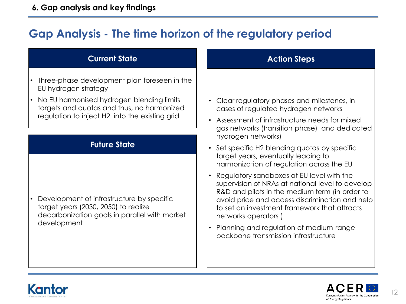# **Gap Analysis - The time horizon of the regulatory period**

#### **Current State**

- Three-phase development plan foreseen in the EU hydrogen strategy
- No EU harmonised hydrogen blending limits targets and quotas and thus, no harmonized regulation to inject H2 into the existing grid

#### **Future State**

• Development of infrastructure by specific target years (2030, 2050) to realize decarbonization goals in parallel with market development

#### **Action Steps**

- Clear regulatory phases and milestones, in cases of regulated hydrogen networks
- Assessment of infrastructure needs for mixed gas networks (transition phase) and dedicated hydrogen networks)
- Set specific H2 blending quotas by specific target years, eventually leading to harmonization of regulation across the EU
- Regulatory sandboxes at EU level with the supervision of NRAs at national level to develop R&D and pilots in the medium term (in order to avoid price and access discrimination and help to set an investment framework that attracts networks operators )
- Planning and regulation of medium-range backbone transmission infrastructure



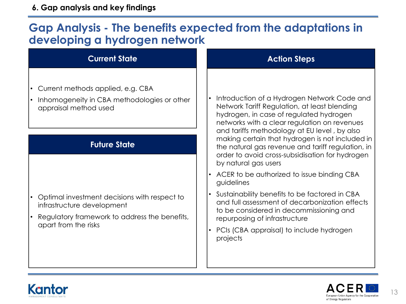# **Gap Analysis - The benefits expected from the adaptations in developing a hydrogen network**

#### **Current State**

- Current methods applied, e.g. CBA
- Inhomogeneity in CBA methodologies or other appraisal method used

#### **Future State**

- Optimal investment decisions with respect to infrastructure development
- Regulatory framework to address the benefits, apart from the risks

#### **Action Steps**

- Introduction of a Hydrogen Network Code and Network Tariff Regulation, at least blending hydrogen, in case of regulated hydrogen networks with a clear regulation on revenues and tariffs methodology at EU level , by also making certain that hydrogen is not included in the natural gas revenue and tariff regulation, in order to avoid cross-subsidisation for hydrogen by natural gas users
- ACER to be authorized to issue binding CBA guidelines
- Sustainability benefits to be factored in CBA and full assessment of decarbonization effects to be considered in decommissioning and repurposing of infrastructure
- PCIs (CBA appraisal) to include hydrogen projects



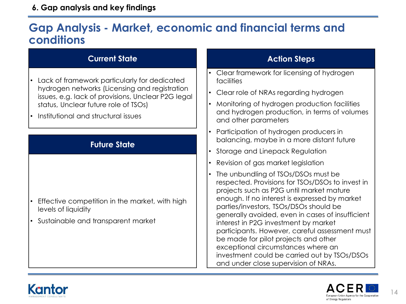#### **6. Gap analysis and key findings**

# **Gap Analysis - Market, economic and financial terms and conditions**

#### **Current State**

- Lack of framework particularly for dedicated hydrogen networks (Licensing and registration issues, e.g. lack of provisions, Unclear P2G legal status, Unclear future role of TSOs)
- Institutional and structural issues

#### **Future State**

- Effective competition in the market, with high levels of liquidity
- Sustainable and transparent market

#### **Action Steps**

- Clear framework for licensing of hydrogen facilities
- Clear role of NRAs regarding hydrogen
- Monitoring of hydrogen production facilities and hydrogen production, in terms of volumes and other parameters
- Participation of hydrogen producers in balancing, maybe in a more distant future
- Storage and Linepack Regulation
- Revision of gas market legislation
- The unbundling of TSOs/DSOs must be respected. Provisions for TSOs/DSOs to invest in projects such as P2G until market mature enough. If no interest is expressed by market parties/investors, TSOs/DSOs should be generally avoided, even in cases of insufficient interest in P2G investment by market participants. However, careful assessment must be made for pilot projects and other exceptional circumstances where an investment could be carried out by TSOs/DSOs and under close supervision of NRAs.



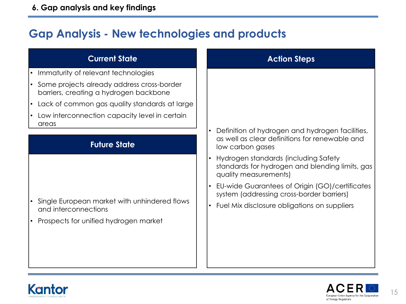# **Gap Analysis - New technologies and products**

| <b>Current State</b>                                                                                          | <b>Action Steps</b>                                                                                                                                                                                                                                               |  |
|---------------------------------------------------------------------------------------------------------------|-------------------------------------------------------------------------------------------------------------------------------------------------------------------------------------------------------------------------------------------------------------------|--|
| Immaturity of relevant technologies<br>$\bullet$                                                              |                                                                                                                                                                                                                                                                   |  |
| • Some projects already address cross-border<br>barriers, creating a hydrogen backbone                        |                                                                                                                                                                                                                                                                   |  |
| Lack of common gas quality standards at large                                                                 |                                                                                                                                                                                                                                                                   |  |
| Low interconnection capacity level in certain                                                                 |                                                                                                                                                                                                                                                                   |  |
| areas                                                                                                         | Definition of hydrogen and hydrogen facilities,                                                                                                                                                                                                                   |  |
| <b>Future State</b>                                                                                           | as well as clear definitions for renewable and<br>low carbon gases                                                                                                                                                                                                |  |
| Single European market with unhindered flows<br>and interconnections<br>Prospects for unified hydrogen market | Hydrogen standards (including Safety<br>standards for hydrogen and blending limits, gas<br>quality measurements)<br>EU-wide Guarantees of Origin (GO)/certificates<br>system (addressing cross-border barriers)<br>• Fuel Mix disclosure obligations on suppliers |  |



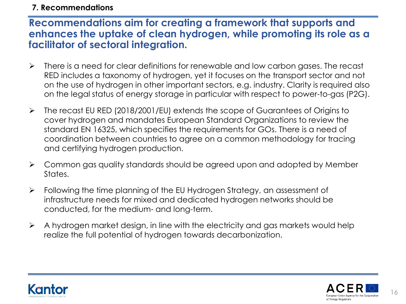#### **7. Recommendations**

#### **Recommendations aim for creating a framework that supports and enhances the uptake of clean hydrogen, while promoting its role as a facilitator of sectoral integration.**

- $\triangleright$  There is a need for clear definitions for renewable and low carbon gases. The recast RED includes a taxonomy of hydrogen, yet it focuses on the transport sector and not on the use of hydrogen in other important sectors, e.g. industry. Clarity is required also on the legal status of energy storage in particular with respect to power-to-gas (P2G).
- The recast EU RED (2018/2001/EU) extends the scope of Guarantees of Origins to cover hydrogen and mandates European Standard Organizations to review the standard EN 16325, which specifies the requirements for GOs. There is a need of coordination between countries to agree on a common methodology for tracing and certifying hydrogen production.
- $\triangleright$  Common gas quality standards should be agreed upon and adopted by Member States.
- Following the time planning of the EU Hydrogen Strategy, an assessment of infrastructure needs for mixed and dedicated hydrogen networks should be conducted, for the medium- and long-term.
- $\triangleright$  A hydrogen market design, in line with the electricity and gas markets would help realize the full potential of hydrogen towards decarbonization.



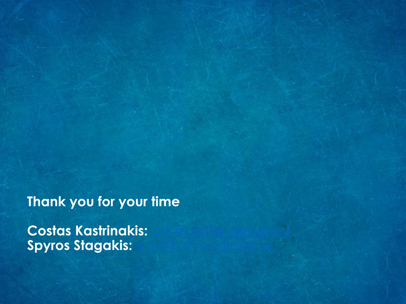**Thank you for your time**

**Costas Kastrinakis: Spyros Stagakis:**